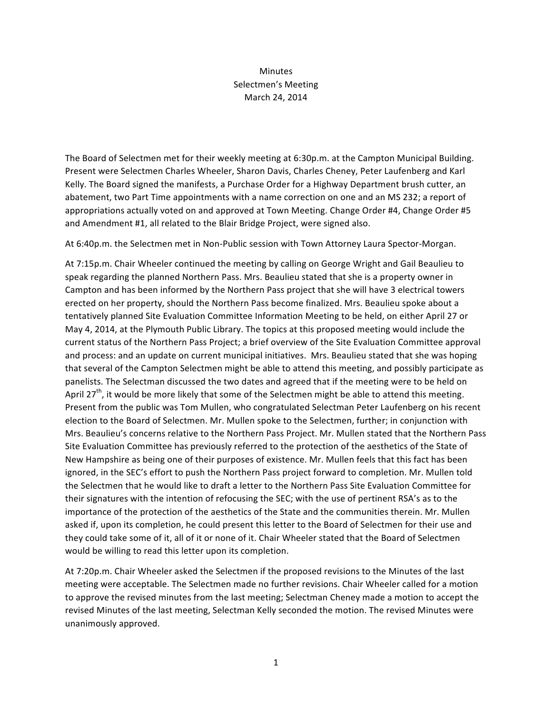## Minutes Selectmen's Meeting March 24, 2014

The Board of Selectmen met for their weekly meeting at 6:30p.m. at the Campton Municipal Building. Present were Selectmen Charles Wheeler, Sharon Davis, Charles Cheney, Peter Laufenberg and Karl Kelly. The Board signed the manifests, a Purchase Order for a Highway Department brush cutter, an abatement, two Part Time appointments with a name correction on one and an MS 232; a report of appropriations actually voted on and approved at Town Meeting. Change Order #4, Change Order #5 and Amendment #1, all related to the Blair Bridge Project, were signed also.

At 6:40p.m. the Selectmen met in Non-Public session with Town Attorney Laura Spector-Morgan.

At 7:15p.m. Chair Wheeler continued the meeting by calling on George Wright and Gail Beaulieu to speak regarding the planned Northern Pass. Mrs. Beaulieu stated that she is a property owner in Campton and has been informed by the Northern Pass project that she will have 3 electrical towers erected on her property, should the Northern Pass become finalized. Mrs. Beaulieu spoke about a tentatively planned Site Evaluation Committee Information Meeting to be held, on either April 27 or May 4, 2014, at the Plymouth Public Library. The topics at this proposed meeting would include the current status of the Northern Pass Project; a brief overview of the Site Evaluation Committee approval and process: and an update on current municipal initiatives. Mrs. Beaulieu stated that she was hoping that several of the Campton Selectmen might be able to attend this meeting, and possibly participate as panelists. The Selectman discussed the two dates and agreed that if the meeting were to be held on April  $27<sup>th</sup>$ , it would be more likely that some of the Selectmen might be able to attend this meeting. Present from the public was Tom Mullen, who congratulated Selectman Peter Laufenberg on his recent election to the Board of Selectmen. Mr. Mullen spoke to the Selectmen, further; in conjunction with Mrs. Beaulieu's concerns relative to the Northern Pass Project. Mr. Mullen stated that the Northern Pass Site Evaluation Committee has previously referred to the protection of the aesthetics of the State of New Hampshire as being one of their purposes of existence. Mr. Mullen feels that this fact has been ignored, in the SEC's effort to push the Northern Pass project forward to completion. Mr. Mullen told the Selectmen that he would like to draft a letter to the Northern Pass Site Evaluation Committee for their signatures with the intention of refocusing the SEC; with the use of pertinent RSA's as to the importance of the protection of the aesthetics of the State and the communities therein. Mr. Mullen asked if, upon its completion, he could present this letter to the Board of Selectmen for their use and they could take some of it, all of it or none of it. Chair Wheeler stated that the Board of Selectmen would be willing to read this letter upon its completion.

At 7:20p.m. Chair Wheeler asked the Selectmen if the proposed revisions to the Minutes of the last meeting were acceptable. The Selectmen made no further revisions. Chair Wheeler called for a motion to approve the revised minutes from the last meeting; Selectman Cheney made a motion to accept the revised Minutes of the last meeting, Selectman Kelly seconded the motion. The revised Minutes were unanimously approved.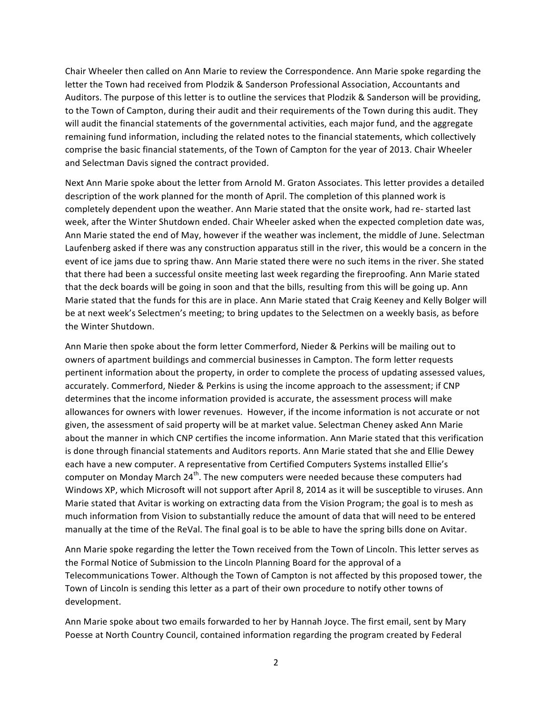Chair Wheeler then called on Ann Marie to review the Correspondence. Ann Marie spoke regarding the letter the Town had received from Plodzik & Sanderson Professional Association, Accountants and Auditors. The purpose of this letter is to outline the services that Plodzik & Sanderson will be providing, to the Town of Campton, during their audit and their requirements of the Town during this audit. They will audit the financial statements of the governmental activities, each major fund, and the aggregate remaining fund information, including the related notes to the financial statements, which collectively comprise the basic financial statements, of the Town of Campton for the year of 2013. Chair Wheeler and Selectman Davis signed the contract provided.

Next Ann Marie spoke about the letter from Arnold M. Graton Associates. This letter provides a detailed description of the work planned for the month of April. The completion of this planned work is completely dependent upon the weather. Ann Marie stated that the onsite work, had re- started last week, after the Winter Shutdown ended. Chair Wheeler asked when the expected completion date was, Ann Marie stated the end of May, however if the weather was inclement, the middle of June. Selectman Laufenberg asked if there was any construction apparatus still in the river, this would be a concern in the event of ice jams due to spring thaw. Ann Marie stated there were no such items in the river. She stated that there had been a successful onsite meeting last week regarding the fireproofing. Ann Marie stated that the deck boards will be going in soon and that the bills, resulting from this will be going up. Ann Marie stated that the funds for this are in place. Ann Marie stated that Craig Keeney and Kelly Bolger will be at next week's Selectmen's meeting; to bring updates to the Selectmen on a weekly basis, as before the Winter Shutdown.

Ann Marie then spoke about the form letter Commerford, Nieder & Perkins will be mailing out to owners of apartment buildings and commercial businesses in Campton. The form letter requests pertinent information about the property, in order to complete the process of updating assessed values, accurately. Commerford, Nieder & Perkins is using the income approach to the assessment; if CNP determines that the income information provided is accurate, the assessment process will make allowances for owners with lower revenues. However, if the income information is not accurate or not given, the assessment of said property will be at market value. Selectman Cheney asked Ann Marie about the manner in which CNP certifies the income information. Ann Marie stated that this verification is done through financial statements and Auditors reports. Ann Marie stated that she and Ellie Dewey each have a new computer. A representative from Certified Computers Systems installed Ellie's computer on Monday March  $24^{th}$ . The new computers were needed because these computers had Windows XP, which Microsoft will not support after April 8, 2014 as it will be susceptible to viruses. Ann Marie stated that Avitar is working on extracting data from the Vision Program; the goal is to mesh as much information from Vision to substantially reduce the amount of data that will need to be entered manually at the time of the ReVal. The final goal is to be able to have the spring bills done on Avitar.

Ann Marie spoke regarding the letter the Town received from the Town of Lincoln. This letter serves as the Formal Notice of Submission to the Lincoln Planning Board for the approval of a Telecommunications Tower. Although the Town of Campton is not affected by this proposed tower, the Town of Lincoln is sending this letter as a part of their own procedure to notify other towns of development.

Ann Marie spoke about two emails forwarded to her by Hannah Joyce. The first email, sent by Mary Poesse at North Country Council, contained information regarding the program created by Federal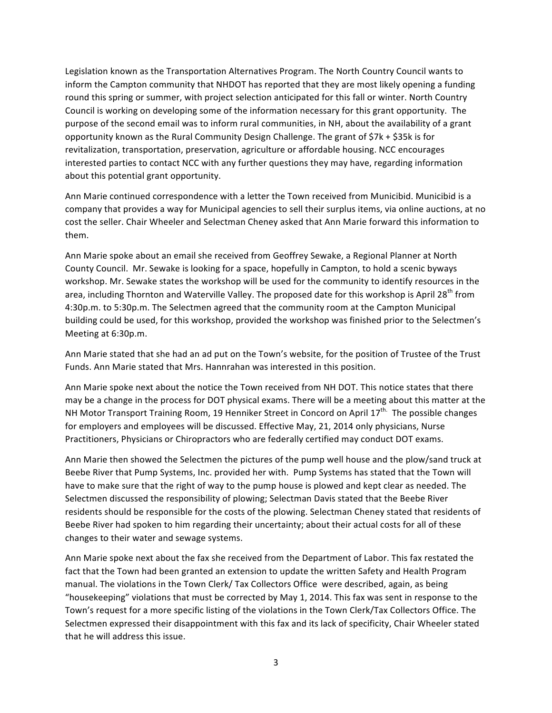Legislation known as the Transportation Alternatives Program. The North Country Council wants to inform the Campton community that NHDOT has reported that they are most likely opening a funding round this spring or summer, with project selection anticipated for this fall or winter. North Country Council is working on developing some of the information necessary for this grant opportunity. The purpose of the second email was to inform rural communities, in NH, about the availability of a grant opportunity known as the Rural Community Design Challenge. The grant of  $$7k + $35k$  is for revitalization, transportation, preservation, agriculture or affordable housing. NCC encourages interested parties to contact NCC with any further questions they may have, regarding information about this potential grant opportunity.

Ann Marie continued correspondence with a letter the Town received from Municibid. Municibid is a company that provides a way for Municipal agencies to sell their surplus items, via online auctions, at no cost the seller. Chair Wheeler and Selectman Cheney asked that Ann Marie forward this information to them.

Ann Marie spoke about an email she received from Geoffrey Sewake, a Regional Planner at North County Council. Mr. Sewake is looking for a space, hopefully in Campton, to hold a scenic byways workshop. Mr. Sewake states the workshop will be used for the community to identify resources in the area, including Thornton and Waterville Valley. The proposed date for this workshop is April 28<sup>th</sup> from 4:30p.m. to 5:30p.m. The Selectmen agreed that the community room at the Campton Municipal building could be used, for this workshop, provided the workshop was finished prior to the Selectmen's Meeting at 6:30p.m.

Ann Marie stated that she had an ad put on the Town's website, for the position of Trustee of the Trust Funds. Ann Marie stated that Mrs. Hannrahan was interested in this position.

Ann Marie spoke next about the notice the Town received from NH DOT. This notice states that there may be a change in the process for DOT physical exams. There will be a meeting about this matter at the NH Motor Transport Training Room, 19 Henniker Street in Concord on April 17<sup>th.</sup> The possible changes for employers and employees will be discussed. Effective May, 21, 2014 only physicians, Nurse Practitioners, Physicians or Chiropractors who are federally certified may conduct DOT exams.

Ann Marie then showed the Selectmen the pictures of the pump well house and the plow/sand truck at Beebe River that Pump Systems, Inc. provided her with. Pump Systems has stated that the Town will have to make sure that the right of way to the pump house is plowed and kept clear as needed. The Selectmen discussed the responsibility of plowing; Selectman Davis stated that the Beebe River residents should be responsible for the costs of the plowing. Selectman Cheney stated that residents of Beebe River had spoken to him regarding their uncertainty; about their actual costs for all of these changes to their water and sewage systems.

Ann Marie spoke next about the fax she received from the Department of Labor. This fax restated the fact that the Town had been granted an extension to update the written Safety and Health Program manual. The violations in the Town Clerk/ Tax Collectors Office were described, again, as being "housekeeping" violations that must be corrected by May 1, 2014. This fax was sent in response to the Town's request for a more specific listing of the violations in the Town Clerk/Tax Collectors Office. The Selectmen expressed their disappointment with this fax and its lack of specificity, Chair Wheeler stated that he will address this issue.